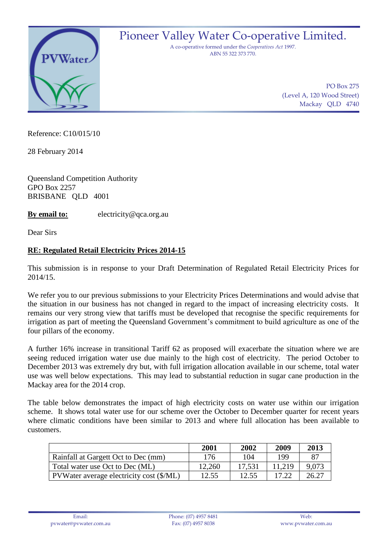

## Pioneer Valley Water Co-operative Limited.

A co-operative formed under the *Cooperatives Act* 1997. ABN 55 322 373 770.

> PO Box 275 (Level A, 120 Wood Street) Mackay QLD 4740

Reference: C10/015/10

28 February 2014

Queensland Competition Authority GPO Box 2257 BRISBANE QLD 4001

**By email to:** electricity@qca.org.au

Dear Sirs

## **RE: Regulated Retail Electricity Prices 2014-15**

This submission is in response to your Draft Determination of Regulated Retail Electricity Prices for 2014/15.

We refer you to our previous submissions to your Electricity Prices Determinations and would advise that the situation in our business has not changed in regard to the impact of increasing electricity costs. It remains our very strong view that tariffs must be developed that recognise the specific requirements for irrigation as part of meeting the Queensland Government's commitment to build agriculture as one of the four pillars of the economy.

A further 16% increase in transitional Tariff 62 as proposed will exacerbate the situation where we are seeing reduced irrigation water use due mainly to the high cost of electricity. The period October to December 2013 was extremely dry but, with full irrigation allocation available in our scheme, total water use was well below expectations. This may lead to substantial reduction in sugar cane production in the Mackay area for the 2014 crop.

The table below demonstrates the impact of high electricity costs on water use within our irrigation scheme. It shows total water use for our scheme over the October to December quarter for recent years where climatic conditions have been similar to 2013 and where full allocation has been available to customers.

|                                          | 2001   | 2002   | 2009   | 2013  |
|------------------------------------------|--------|--------|--------|-------|
| Rainfall at Gargett Oct to Dec (mm)      | 176    | 104    | 199    | 87    |
| Total water use Oct to Dec (ML)          | 12,260 | 17,531 | 11.219 | 9.073 |
| PVWater average electricity cost (\$/ML) | 12.55  | 12.55  | 17.22  | 26.27 |